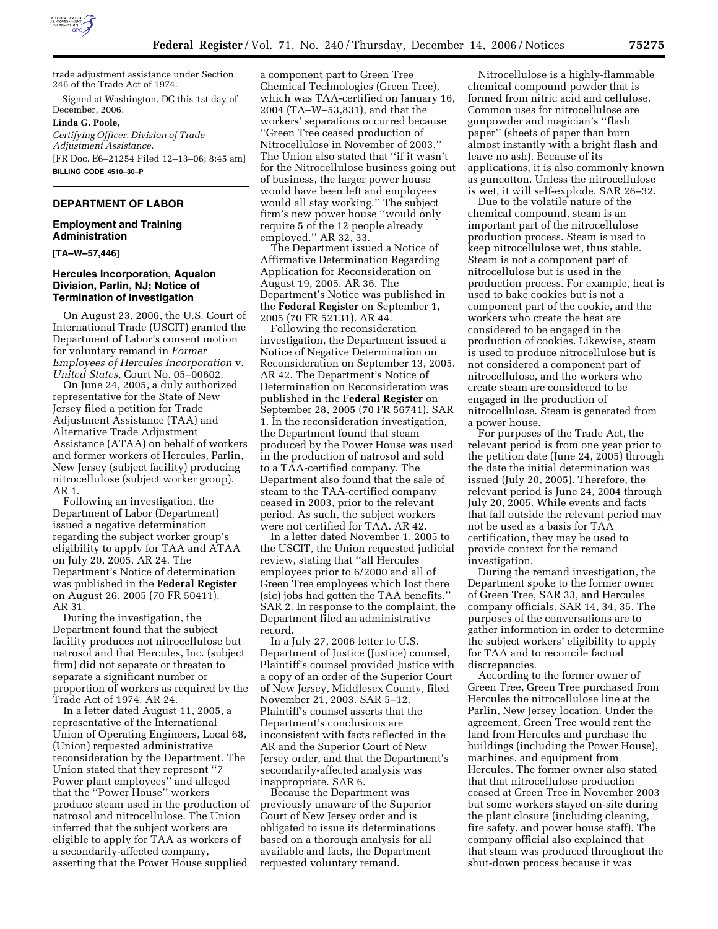

trade adjustment assistance under Section 246 of the Trade Act of 1974.

Signed at Washington, DC this 1st day of December, 2006. **Linda G. Poole,**  *Certifying Officer, Division of Trade Adjustment Assistance.*  [FR Doc. E6–21254 Filed 12–13–06; 8:45 am] **BILLING CODE 4510–30–P** 

### **DEPARTMENT OF LABOR**

### **Employment and Training Administration**

**[TA–W–57,446]** 

### **Hercules Incorporation, Aqualon Division, Parlin, NJ; Notice of Termination of Investigation**

On August 23, 2006, the U.S. Court of International Trade (USCIT) granted the Department of Labor's consent motion for voluntary remand in *Former Employees of Hercules Incorporation* v. *United States*, Court No. 05–00602.

On June 24, 2005, a duly authorized representative for the State of New Jersey filed a petition for Trade Adjustment Assistance (TAA) and Alternative Trade Adjustment Assistance (ATAA) on behalf of workers and former workers of Hercules, Parlin, New Jersey (subject facility) producing nitrocellulose (subject worker group). AR 1.

Following an investigation, the Department of Labor (Department) issued a negative determination regarding the subject worker group's eligibility to apply for TAA and ATAA on July 20, 2005. AR 24. The Department's Notice of determination was published in the **Federal Register**  on August 26, 2005 (70 FR 50411). AR 31.

During the investigation, the Department found that the subject facility produces not nitrocellulose but natrosol and that Hercules, Inc. (subject firm) did not separate or threaten to separate a significant number or proportion of workers as required by the Trade Act of 1974. AR 24.

In a letter dated August 11, 2005, a representative of the International Union of Operating Engineers, Local 68, (Union) requested administrative reconsideration by the Department. The Union stated that they represent ''7 Power plant employees'' and alleged that the ''Power House'' workers produce steam used in the production of natrosol and nitrocellulose. The Union inferred that the subject workers are eligible to apply for TAA as workers of a secondarily-affected company, asserting that the Power House supplied

a component part to Green Tree Chemical Technologies (Green Tree), which was TAA-certified on January 16, 2004 (TA–W–53,831), and that the workers' separations occurred because ''Green Tree ceased production of Nitrocellulose in November of 2003.'' The Union also stated that ''if it wasn't for the Nitrocellulose business going out of business, the larger power house would have been left and employees would all stay working.'' The subject firm's new power house ''would only require 5 of the 12 people already employed.'' AR 32, 33.

The Department issued a Notice of Affirmative Determination Regarding Application for Reconsideration on August 19, 2005. AR 36. The Department's Notice was published in the **Federal Register** on September 1, 2005 (70 FR 52131). AR 44.

Following the reconsideration investigation, the Department issued a Notice of Negative Determination on Reconsideration on September 13, 2005. AR 42. The Department's Notice of Determination on Reconsideration was published in the **Federal Register** on September 28, 2005 (70 FR 56741). SAR 1. In the reconsideration investigation, the Department found that steam produced by the Power House was used in the production of natrosol and sold to a TAA-certified company. The Department also found that the sale of steam to the TAA-certified company ceased in 2003, prior to the relevant period. As such, the subject workers were not certified for TAA. AR 42.

In a letter dated November 1, 2005 to the USCIT, the Union requested judicial review, stating that ''all Hercules employees prior to 6/2000 and all of Green Tree employees which lost there (sic) jobs had gotten the TAA benefits.'' SAR 2. In response to the complaint, the Department filed an administrative record.

In a July 27, 2006 letter to U.S. Department of Justice (Justice) counsel, Plaintiff's counsel provided Justice with a copy of an order of the Superior Court of New Jersey, Middlesex County, filed November 21, 2003. SAR 5–12. Plaintiff's counsel asserts that the Department's conclusions are inconsistent with facts reflected in the AR and the Superior Court of New Jersey order, and that the Department's secondarily-affected analysis was inappropriate. SAR 6.

Because the Department was previously unaware of the Superior Court of New Jersey order and is obligated to issue its determinations based on a thorough analysis for all available and facts, the Department requested voluntary remand.

Nitrocellulose is a highly-flammable chemical compound powder that is formed from nitric acid and cellulose. Common uses for nitrocellulose are gunpowder and magician's ''flash paper'' (sheets of paper than burn almost instantly with a bright flash and leave no ash). Because of its applications, it is also commonly known as guncotton. Unless the nitrocellulose is wet, it will self-explode. SAR 26–32.

Due to the volatile nature of the chemical compound, steam is an important part of the nitrocellulose production process. Steam is used to keep nitrocellulose wet, thus stable. Steam is not a component part of nitrocellulose but is used in the production process. For example, heat is used to bake cookies but is not a component part of the cookie, and the workers who create the heat are considered to be engaged in the production of cookies. Likewise, steam is used to produce nitrocellulose but is not considered a component part of nitrocellulose, and the workers who create steam are considered to be engaged in the production of nitrocellulose. Steam is generated from a power house.

For purposes of the Trade Act, the relevant period is from one year prior to the petition date (June 24, 2005) through the date the initial determination was issued (July 20, 2005). Therefore, the relevant period is June 24, 2004 through July 20, 2005. While events and facts that fall outside the relevant period may not be used as a basis for TAA certification, they may be used to provide context for the remand investigation.

During the remand investigation, the Department spoke to the former owner of Green Tree, SAR 33, and Hercules company officials. SAR 14, 34, 35. The purposes of the conversations are to gather information in order to determine the subject workers' eligibility to apply for TAA and to reconcile factual discrepancies.

According to the former owner of Green Tree, Green Tree purchased from Hercules the nitrocellulose line at the Parlin, New Jersey location. Under the agreement, Green Tree would rent the land from Hercules and purchase the buildings (including the Power House), machines, and equipment from Hercules. The former owner also stated that that nitrocellulose production ceased at Green Tree in November 2003 but some workers stayed on-site during the plant closure (including cleaning, fire safety, and power house staff). The company official also explained that that steam was produced throughout the shut-down process because it was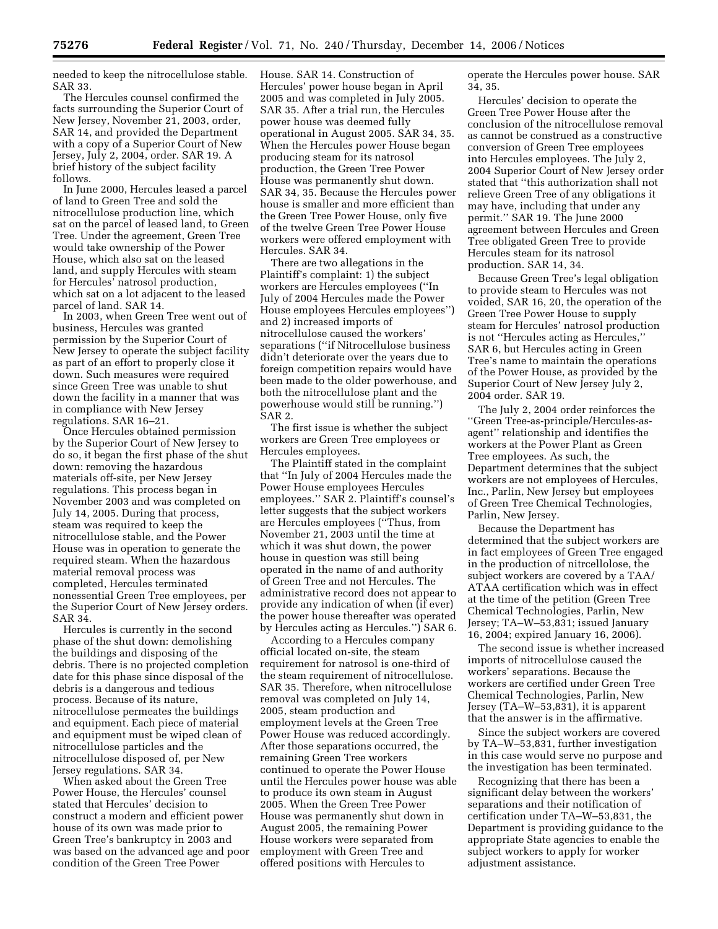needed to keep the nitrocellulose stable. SAR 33.

The Hercules counsel confirmed the facts surrounding the Superior Court of New Jersey, November 21, 2003, order, SAR 14, and provided the Department with a copy of a Superior Court of New Jersey, July 2, 2004, order. SAR 19. A brief history of the subject facility follows.

In June 2000, Hercules leased a parcel of land to Green Tree and sold the nitrocellulose production line, which sat on the parcel of leased land, to Green Tree. Under the agreement, Green Tree would take ownership of the Power House, which also sat on the leased land, and supply Hercules with steam for Hercules' natrosol production, which sat on a lot adjacent to the leased parcel of land. SAR 14.

In 2003, when Green Tree went out of business, Hercules was granted permission by the Superior Court of New Jersey to operate the subject facility as part of an effort to properly close it down. Such measures were required since Green Tree was unable to shut down the facility in a manner that was in compliance with New Jersey regulations. SAR 16–21.

Once Hercules obtained permission by the Superior Court of New Jersey to do so, it began the first phase of the shut down: removing the hazardous materials off-site, per New Jersey regulations. This process began in November 2003 and was completed on July 14, 2005. During that process, steam was required to keep the nitrocellulose stable, and the Power House was in operation to generate the required steam. When the hazardous material removal process was completed, Hercules terminated nonessential Green Tree employees, per the Superior Court of New Jersey orders. SAR 34.

Hercules is currently in the second phase of the shut down: demolishing the buildings and disposing of the debris. There is no projected completion date for this phase since disposal of the debris is a dangerous and tedious process. Because of its nature, nitrocellulose permeates the buildings and equipment. Each piece of material and equipment must be wiped clean of nitrocellulose particles and the nitrocellulose disposed of, per New Jersey regulations. SAR 34.

When asked about the Green Tree Power House, the Hercules' counsel stated that Hercules' decision to construct a modern and efficient power house of its own was made prior to Green Tree's bankruptcy in 2003 and was based on the advanced age and poor condition of the Green Tree Power

House. SAR 14. Construction of Hercules' power house began in April 2005 and was completed in July 2005. SAR 35. After a trial run, the Hercules power house was deemed fully operational in August 2005. SAR 34, 35. When the Hercules power House began producing steam for its natrosol production, the Green Tree Power House was permanently shut down. SAR 34, 35. Because the Hercules power house is smaller and more efficient than the Green Tree Power House, only five of the twelve Green Tree Power House workers were offered employment with Hercules. SAR 34.

There are two allegations in the Plaintiff's complaint: 1) the subject workers are Hercules employees (''In July of 2004 Hercules made the Power House employees Hercules employees'') and 2) increased imports of nitrocellulose caused the workers' separations (''if Nitrocellulose business didn't deteriorate over the years due to foreign competition repairs would have been made to the older powerhouse, and both the nitrocellulose plant and the powerhouse would still be running.'') SAR 2.

The first issue is whether the subject workers are Green Tree employees or Hercules employees.

The Plaintiff stated in the complaint that ''In July of 2004 Hercules made the Power House employees Hercules employees.'' SAR 2. Plaintiff's counsel's letter suggests that the subject workers are Hercules employees (''Thus, from November 21, 2003 until the time at which it was shut down, the power house in question was still being operated in the name of and authority of Green Tree and not Hercules. The administrative record does not appear to provide any indication of when (if ever) the power house thereafter was operated by Hercules acting as Hercules.'') SAR 6.

According to a Hercules company official located on-site, the steam requirement for natrosol is one-third of the steam requirement of nitrocellulose. SAR 35. Therefore, when nitrocellulose removal was completed on July 14, 2005, steam production and employment levels at the Green Tree Power House was reduced accordingly. After those separations occurred, the remaining Green Tree workers continued to operate the Power House until the Hercules power house was able to produce its own steam in August 2005. When the Green Tree Power House was permanently shut down in August 2005, the remaining Power House workers were separated from employment with Green Tree and offered positions with Hercules to

operate the Hercules power house. SAR 34, 35.

Hercules' decision to operate the Green Tree Power House after the conclusion of the nitrocellulose removal as cannot be construed as a constructive conversion of Green Tree employees into Hercules employees. The July 2, 2004 Superior Court of New Jersey order stated that ''this authorization shall not relieve Green Tree of any obligations it may have, including that under any permit.'' SAR 19. The June 2000 agreement between Hercules and Green Tree obligated Green Tree to provide Hercules steam for its natrosol production. SAR 14, 34.

Because Green Tree's legal obligation to provide steam to Hercules was not voided, SAR 16, 20, the operation of the Green Tree Power House to supply steam for Hercules' natrosol production is not ''Hercules acting as Hercules,'' SAR 6, but Hercules acting in Green Tree's name to maintain the operations of the Power House, as provided by the Superior Court of New Jersey July 2, 2004 order. SAR 19.

The July 2, 2004 order reinforces the ''Green Tree-as-principle/Hercules-asagent'' relationship and identifies the workers at the Power Plant as Green Tree employees. As such, the Department determines that the subject workers are not employees of Hercules, Inc., Parlin, New Jersey but employees of Green Tree Chemical Technologies, Parlin, New Jersey.

Because the Department has determined that the subject workers are in fact employees of Green Tree engaged in the production of nitrcellolose, the subject workers are covered by a TAA/ ATAA certification which was in effect at the time of the petition (Green Tree Chemical Technologies, Parlin, New Jersey; TA–W–53,831; issued January 16, 2004; expired January 16, 2006).

The second issue is whether increased imports of nitrocellulose caused the workers' separations. Because the workers are certified under Green Tree Chemical Technologies, Parlin, New Jersey (TA–W–53,831), it is apparent that the answer is in the affirmative.

Since the subject workers are covered by TA–W–53,831, further investigation in this case would serve no purpose and the investigation has been terminated.

Recognizing that there has been a significant delay between the workers' separations and their notification of certification under TA–W–53,831, the Department is providing guidance to the appropriate State agencies to enable the subject workers to apply for worker adjustment assistance.